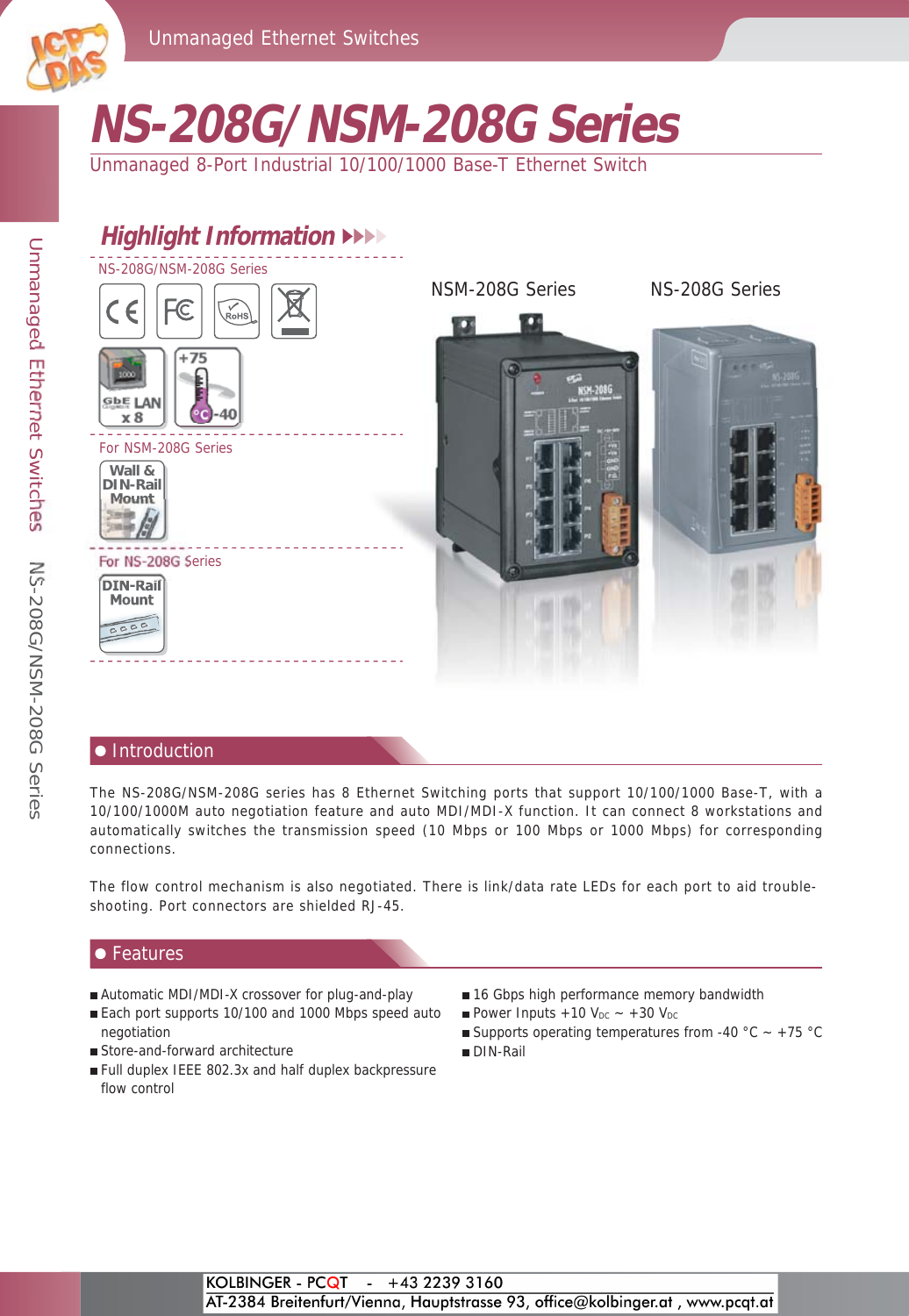

# **NS-208G/NSM-208G Series**

Unmanaged 8-Port Industrial 10/100/1000 Base-T Ethernet Switch

### **Highlight Information** NS-208G/NSM-208G Series NSM-208G Series NS-208G Series  $\epsilon$ FC **+75** 1000 M-2080 **GbE** LAN **8 °C** -40 **x 8** For NSM-208G Series **Wall & DIN-Rail Mount** For NS-208G Series **DIN-Rail Mount**  $\overline{c}$

### Introduction

The NS-208G/NSM-208G series has 8 Ethernet Switching ports that support 10/100/1000 Base-T, with a 10/100/1000M auto negotiation feature and auto MDI/MDI-X function. It can connect 8 workstations and automatically switches the transmission speed (10 Mbps or 100 Mbps or 1000 Mbps) for corresponding connections.

The flow control mechanism is also negotiated. There is link/data rate LEDs for each port to aid troubleshooting. Port connectors are shielded RJ-45.

### $\bullet$  Features

- Automatic MDI/MDI-X crossover for plug-and-play
- Each port supports 10/100 and 1000 Mbps speed auto negotiation
- Store-and-forward architecture
- Full duplex IEEE 802.3x and half duplex backpressure flow control
- 16 Gbps high performance memory bandwidth
- Power Inputs  $+10$  V<sub>DC</sub>  $\sim +30$  V<sub>DC</sub>
- Supports operating temperatures from -40 °C  $\sim$  +75 °C
- DIN-Rail

## ICP DAS CO., LTD Professional Provider of High Quality **I**ndustrial **C**omputer **P**roducts and **D**ata **A**cquisition **S**ystem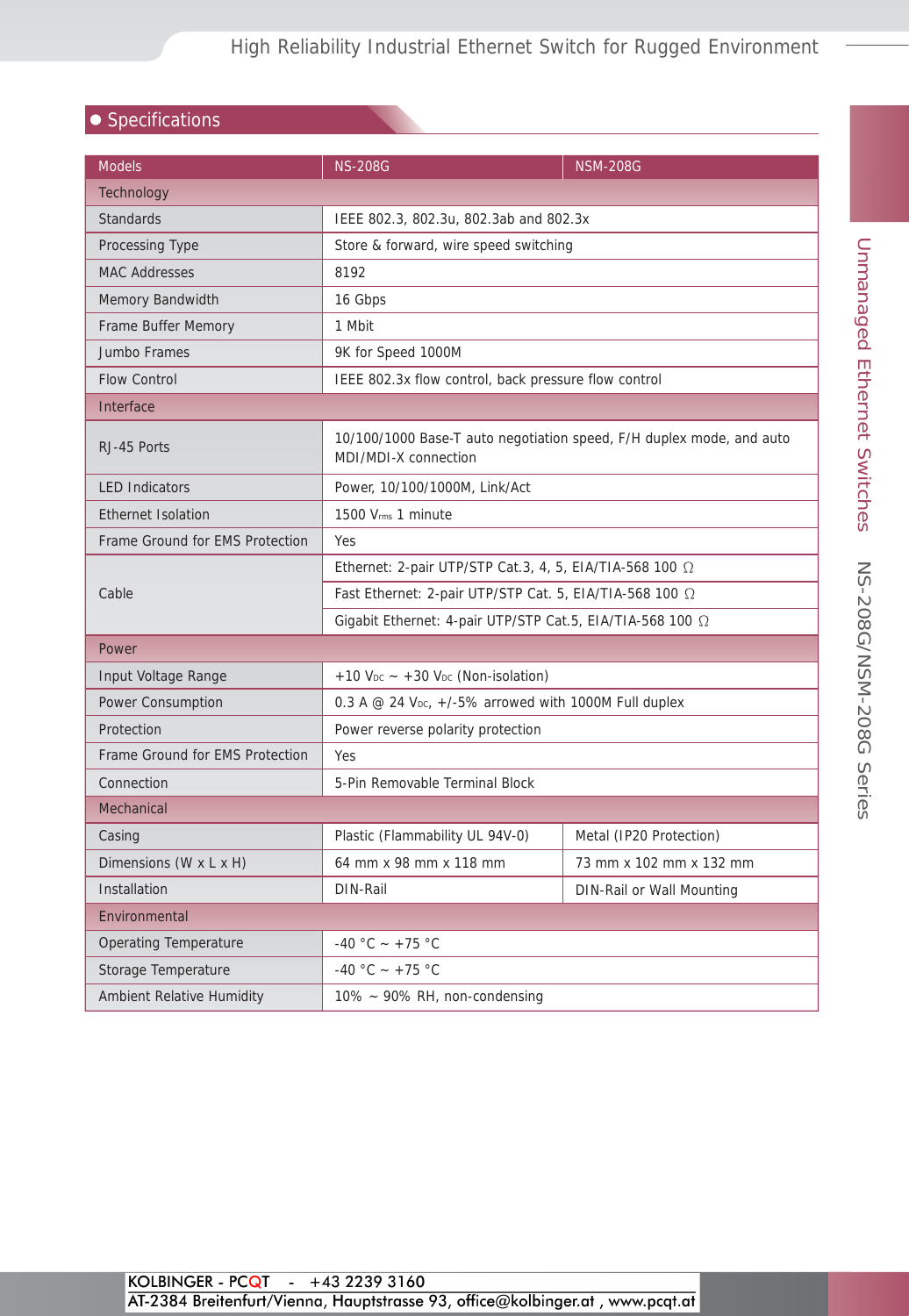### $\bullet$  Specifications

| <b>Models</b>                    | <b>NS-208G</b>                                                                               | <b>NSM-208G</b>           |  |  |
|----------------------------------|----------------------------------------------------------------------------------------------|---------------------------|--|--|
| <b>Technology</b>                |                                                                                              |                           |  |  |
| <b>Standards</b>                 | IEEE 802.3, 802.3u, 802.3ab and 802.3x                                                       |                           |  |  |
| Processing Type                  | Store & forward, wire speed switching                                                        |                           |  |  |
| <b>MAC Addresses</b>             | 8192                                                                                         |                           |  |  |
| Memory Bandwidth                 | 16 Gbps                                                                                      |                           |  |  |
| Frame Buffer Memory              | 1 Mbit                                                                                       |                           |  |  |
| Jumbo Frames                     | 9K for Speed 1000M                                                                           |                           |  |  |
| <b>Flow Control</b>              | IEEE 802.3x flow control, back pressure flow control                                         |                           |  |  |
| Interface                        |                                                                                              |                           |  |  |
| RJ-45 Ports                      | 10/100/1000 Base-T auto negotiation speed, F/H duplex mode, and auto<br>MDI/MDI-X connection |                           |  |  |
| <b>LED Indicators</b>            | Power, 10/100/1000M, Link/Act                                                                |                           |  |  |
| <b>Ethernet Isolation</b>        | 1500 Vrms 1 minute                                                                           |                           |  |  |
| Frame Ground for EMS Protection  | Yes                                                                                          |                           |  |  |
| Cable                            | Ethernet: 2-pair UTP/STP Cat.3, 4, 5, EIA/TIA-568 100 $\Omega$                               |                           |  |  |
|                                  | Fast Ethernet: 2-pair UTP/STP Cat. 5, EIA/TIA-568 100 2                                      |                           |  |  |
|                                  | Gigabit Ethernet: 4-pair UTP/STP Cat.5, EIA/TIA-568 100 Ω                                    |                           |  |  |
| Power                            |                                                                                              |                           |  |  |
| Input Voltage Range              | $+10$ V <sub>DC</sub> $\sim$ +30 V <sub>DC</sub> (Non-isolation)                             |                           |  |  |
| Power Consumption                | 0.3 A @ 24 $V_{DC}$ , +/-5% arrowed with 1000M Full duplex                                   |                           |  |  |
| Protection                       | Power reverse polarity protection                                                            |                           |  |  |
| Frame Ground for EMS Protection  | Yes                                                                                          |                           |  |  |
| Connection                       | 5-Pin Removable Terminal Block                                                               |                           |  |  |
| Mechanical                       |                                                                                              |                           |  |  |
| Casing                           | Plastic (Flammability UL 94V-0)                                                              | Metal (IP20 Protection)   |  |  |
| Dimensions (W x L x H)           | 64 mm x 98 mm x 118 mm                                                                       | 73 mm x 102 mm x 132 mm   |  |  |
| Installation                     | DIN-Rail                                                                                     | DIN-Rail or Wall Mounting |  |  |
| Environmental                    |                                                                                              |                           |  |  |
| <b>Operating Temperature</b>     | -40 °C ~ +75 °C                                                                              |                           |  |  |
| Storage Temperature              | -40 °C ~ +75 °C                                                                              |                           |  |  |
| <b>Ambient Relative Humidity</b> | 10% ~ 90% RH, non-condensing                                                                 |                           |  |  |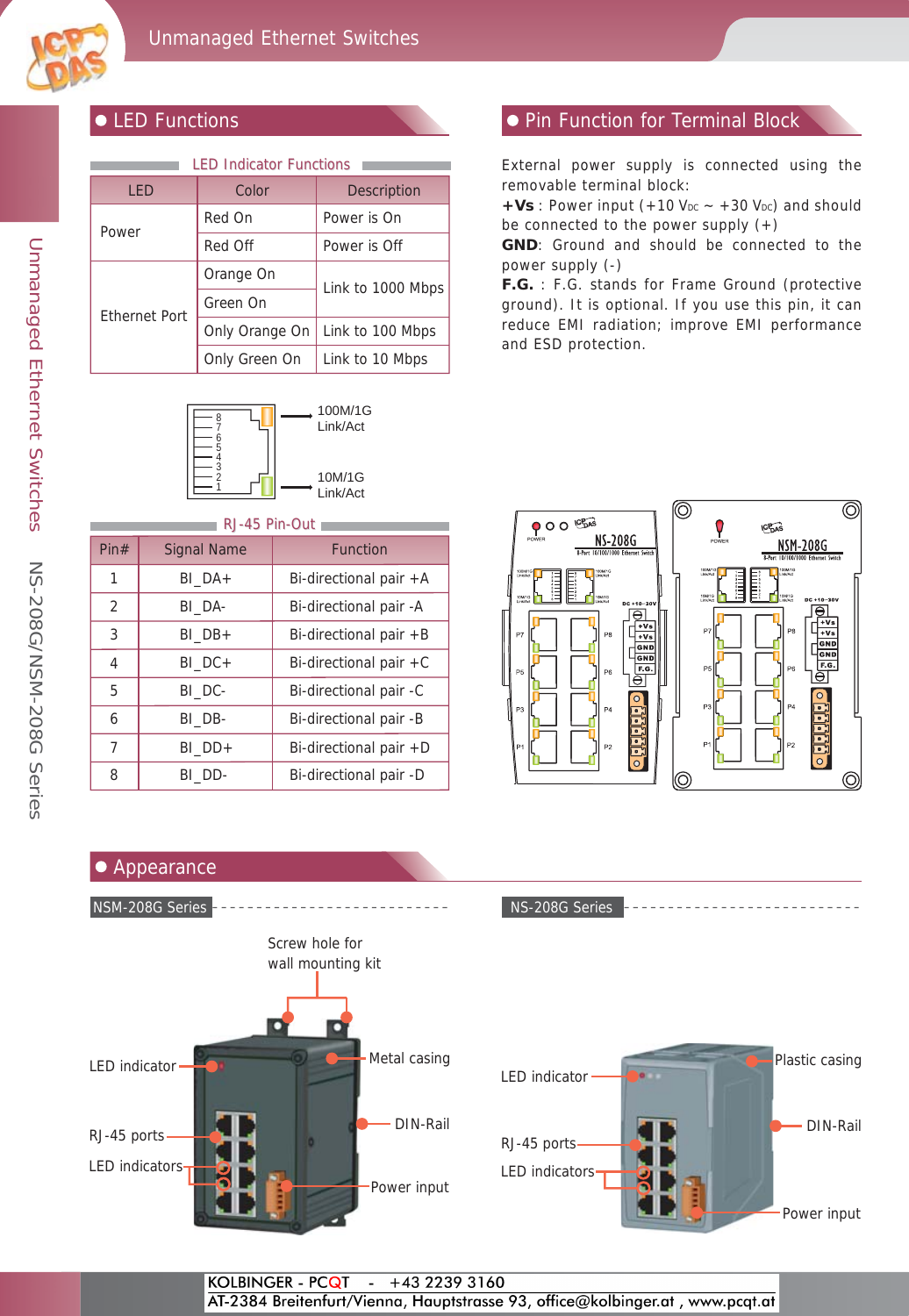

| <b>LED Indicator Functions</b> |                |                    |  |
|--------------------------------|----------------|--------------------|--|
| <b>LED</b>                     | Color          | <b>Description</b> |  |
| Power                          | Red On         | Power is On        |  |
|                                | Red Off        | Power is Off       |  |
| <b>Ethernet Port</b>           | Orange On      | Link to 1000 Mbps  |  |
|                                | Green On       |                    |  |
|                                | Only Orange On | Link to 100 Mbps   |  |
|                                | Only Green On  | Link to 10 Mbps    |  |



### **Internal Pin Function Pin Function Pin Function for Terminal Block**

External power supply is connected using the removable terminal block:

 $+Vs$ : Power input (+10 V<sub>DC</sub>  $\sim$  +30 V<sub>DC</sub>) and should be connected to the power supply  $(+)$ 

**GND**: Ground and should be connected to the power supply (-)

**F.G.** : F.G. stands for Frame Ground (protective ground). It is optional. If you use this pin, it can reduce EMI radiation; improve EMI performance and ESD protection.